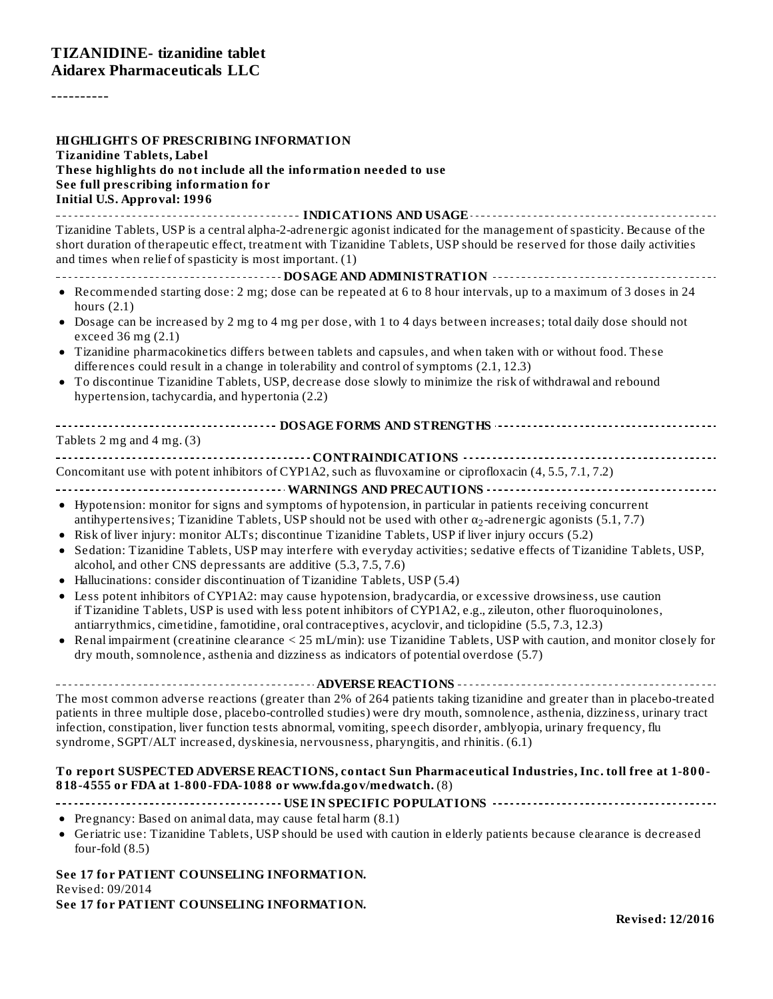----------

| HIGHLIGHTS OF PRESCRIBING INFORMATION<br><b>Tizanidine Tablets, Label</b><br>These highlights do not include all the information needed to use<br>See full prescribing information for<br><b>Initial U.S. Approval: 1996</b>                                                                                                                                                                                                                                                                                                                                                                                                                                                                                                                                                                                                                                                                                                                                                                                                                                                                                                                                                                                                                                                                                                                                 |
|--------------------------------------------------------------------------------------------------------------------------------------------------------------------------------------------------------------------------------------------------------------------------------------------------------------------------------------------------------------------------------------------------------------------------------------------------------------------------------------------------------------------------------------------------------------------------------------------------------------------------------------------------------------------------------------------------------------------------------------------------------------------------------------------------------------------------------------------------------------------------------------------------------------------------------------------------------------------------------------------------------------------------------------------------------------------------------------------------------------------------------------------------------------------------------------------------------------------------------------------------------------------------------------------------------------------------------------------------------------|
| Tizanidine Tablets, USP is a central alpha-2-adrenergic agonist indicated for the management of spasticity. Because of the<br>short duration of therapeutic effect, treatment with Tizanidine Tablets, USP should be reserved for those daily activities<br>and times when relief of spasticity is most important. (1)                                                                                                                                                                                                                                                                                                                                                                                                                                                                                                                                                                                                                                                                                                                                                                                                                                                                                                                                                                                                                                       |
| • Recommended starting dose: 2 mg; dose can be repeated at 6 to 8 hour intervals, up to a maximum of 3 doses in 24<br>hours $(2.1)$<br>• Dosage can be increased by 2 mg to 4 mg per dose, with 1 to 4 days between increases; total daily dose should not<br>exceed 36 mg (2.1)<br>• Tizanidine pharmacokinetics differs between tablets and capsules, and when taken with or without food. These<br>differences could result in a change in tolerability and control of symptoms (2.1, 12.3)<br>• To discontinue Tizanidine Tablets, USP, decrease dose slowly to minimize the risk of withdrawal and rebound<br>hypertension, tachycardia, and hypertonia (2.2)                                                                                                                                                                                                                                                                                                                                                                                                                                                                                                                                                                                                                                                                                           |
| Tablets $2$ mg and $4$ mg. $(3)$                                                                                                                                                                                                                                                                                                                                                                                                                                                                                                                                                                                                                                                                                                                                                                                                                                                                                                                                                                                                                                                                                                                                                                                                                                                                                                                             |
| Concomitant use with potent inhibitors of CYP1A2, such as fluvoxamine or ciprofloxacin (4, 5.5, 7.1, 7.2)<br>• Hypotension: monitor for signs and symptoms of hypotension, in particular in patients receiving concurrent<br>antihypertensives; Tizanidine Tablets, USP should not be used with other $\alpha_2$ -adrenergic agonists (5.1, 7.7)<br>• Risk of liver injury: monitor ALTs; discontinue Tizanidine Tablets, USP if liver injury occurs (5.2)<br>Sedation: Tizanidine Tablets, USP may interfere with everyday activities; sedative effects of Tizanidine Tablets, USP,<br>$\bullet$<br>alcohol, and other CNS depressants are additive (5.3, 7.5, 7.6)<br>Hallucinations: consider discontinuation of Tizanidine Tablets, USP (5.4)<br>$\bullet$<br>Less potent inhibitors of CYP1A2: may cause hypotension, bradycardia, or excessive drowsiness, use caution<br>$\bullet$<br>if Tizanidine Tablets, USP is used with less potent inhibitors of CYP1A2, e.g., zileuton, other fluoroquinolones,<br>antiarrythmics, cimetidine, famotidine, oral contraceptives, acyclovir, and ticlopidine (5.5, 7.3, 12.3)<br>Renal impairment (creatinine clearance < 25 mL/min): use Tizanidine Tablets, USP with caution, and monitor closely for<br>$\bullet$<br>dry mouth, somnolence, asthenia and dizziness as indicators of potential overdose (5.7) |
| The most common adverse reactions (greater than 2% of 264 patients taking tizanidine and greater than in placebo-treated<br>patients in three multiple dose, placebo-controlled studies) were dry mouth, somnolence, asthenia, dizziness, urinary tract<br>infection, constipation, liver function tests abnormal, vomiting, speech disorder, amblyopia, urinary frequency, flu<br>syndrome, SGPT/ALT increased, dyskinesia, nervousness, pharyngitis, and rhinitis. (6.1)<br>To report SUSPECTED ADVERSE REACTIONS, contact Sun Pharmaceutical Industries, Inc. toll free at 1-800-                                                                                                                                                                                                                                                                                                                                                                                                                                                                                                                                                                                                                                                                                                                                                                         |
| 818-4555 or FDA at 1-800-FDA-1088 or www.fda.gov/medwatch. (8)                                                                                                                                                                                                                                                                                                                                                                                                                                                                                                                                                                                                                                                                                                                                                                                                                                                                                                                                                                                                                                                                                                                                                                                                                                                                                               |
| • Pregnancy: Based on animal data, may cause fetal harm (8.1)<br>• Geriatric use: Tizanidine Tablets, USP should be used with caution in elderly patients because clearance is decreased<br>four-fold $(8.5)$<br><b>C., 17 f., DATIENT COUNCELUIC INFODMATION</b>                                                                                                                                                                                                                                                                                                                                                                                                                                                                                                                                                                                                                                                                                                                                                                                                                                                                                                                                                                                                                                                                                            |

**See 17 for PATIENT COUNSELING INFORMATION.** Revised: 09/2014 **See 17 for PATIENT COUNSELING INFORMATION.**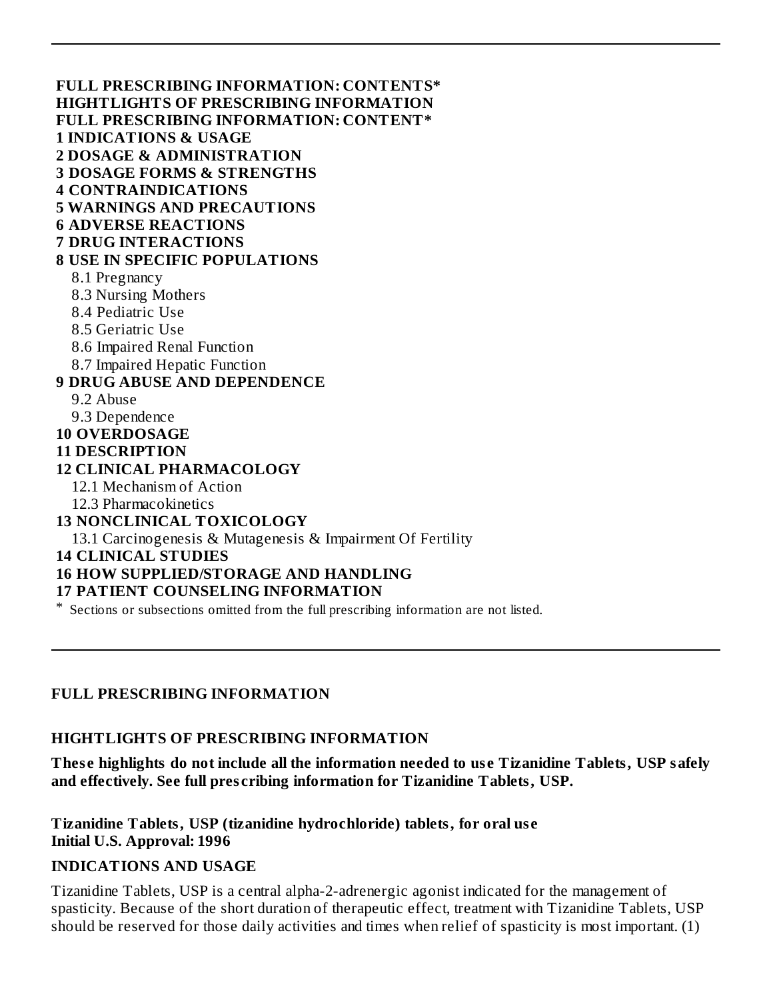**FULL PRESCRIBING INFORMATION: CONTENTS\* HIGHTLIGHTS OF PRESCRIBING INFORMATION FULL PRESCRIBING INFORMATION: CONTENT\* 1 INDICATIONS & USAGE 2 DOSAGE & ADMINISTRATION 3 DOSAGE FORMS & STRENGTHS 4 CONTRAINDICATIONS 5 WARNINGS AND PRECAUTIONS 6 ADVERSE REACTIONS 7 DRUG INTERACTIONS 8 USE IN SPECIFIC POPULATIONS** 8.1 Pregnancy 8.3 Nursing Mothers 8.4 Pediatric Use 8.5 Geriatric Use 8.6 Impaired Renal Function 8.7 Impaired Hepatic Function **9 DRUG ABUSE AND DEPENDENCE** 9.2 Abuse 9.3 Dependence **10 OVERDOSAGE 11 DESCRIPTION 12 CLINICAL PHARMACOLOGY** 12.1 Mechanism of Action 12.3 Pharmacokinetics **13 NONCLINICAL TOXICOLOGY** 13.1 Carcinogenesis & Mutagenesis & Impairment Of Fertility **14 CLINICAL STUDIES 16 HOW SUPPLIED/STORAGE AND HANDLING 17 PATIENT COUNSELING INFORMATION**

\* Sections or subsections omitted from the full prescribing information are not listed.

#### **FULL PRESCRIBING INFORMATION**

#### **HIGHTLIGHTS OF PRESCRIBING INFORMATION**

**Thes e highlights do not include all the information needed to us e Tizanidine Tablets, USP safely and effectively. See full pres cribing information for Tizanidine Tablets, USP.**

**Tizanidine Tablets, USP (tizanidine hydrochloride) tablets, for oral us e Initial U.S. Approval: 1996**

#### **INDICATIONS AND USAGE**

Tizanidine Tablets, USP is a central alpha-2-adrenergic agonist indicated for the management of spasticity. Because of the short duration of therapeutic effect, treatment with Tizanidine Tablets, USP should be reserved for those daily activities and times when relief of spasticity is most important. (1)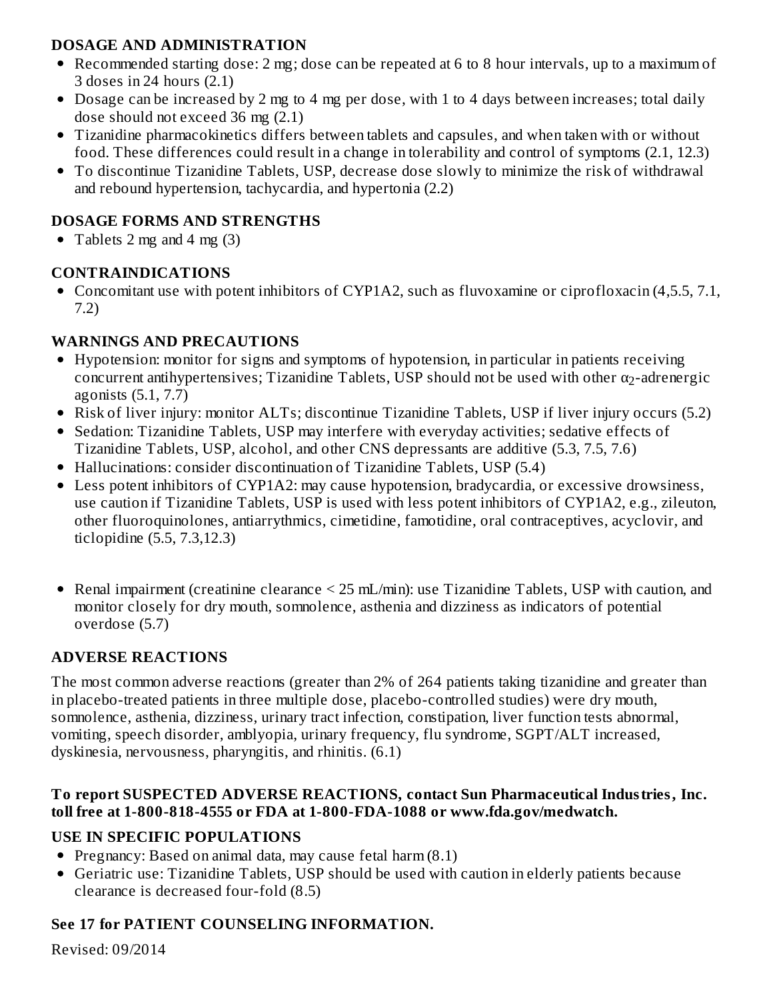### **DOSAGE AND ADMINISTRATION**

- Recommended starting dose: 2 mg; dose can be repeated at 6 to 8 hour intervals, up to a maximum of 3 doses in 24 hours (2.1)
- Dosage can be increased by 2 mg to 4 mg per dose, with 1 to 4 days between increases; total daily dose should not exceed 36 mg (2.1)
- Tizanidine pharmacokinetics differs between tablets and capsules, and when taken with or without food. These differences could result in a change in tolerability and control of symptoms (2.1, 12.3)
- To discontinue Tizanidine Tablets, USP, decrease dose slowly to minimize the risk of withdrawal and rebound hypertension, tachycardia, and hypertonia (2.2)

## **DOSAGE FORMS AND STRENGTHS**

• Tablets 2 mg and 4 mg  $(3)$ 

## **CONTRAINDICATIONS**

Concomitant use with potent inhibitors of CYP1A2, such as fluvoxamine or ciprofloxacin (4,5.5, 7.1, 7.2)

## **WARNINGS AND PRECAUTIONS**

- Hypotension: monitor for signs and symptoms of hypotension, in particular in patients receiving concurrent antihypertensives; Tizanidine Tablets, USP should not be used with other  $\alpha_2$ -adrenergic agonists (5.1, 7.7)
- Risk of liver injury: monitor ALTs; discontinue Tizanidine Tablets, USP if liver injury occurs (5.2)
- Sedation: Tizanidine Tablets, USP may interfere with everyday activities; sedative effects of Tizanidine Tablets, USP, alcohol, and other CNS depressants are additive (5.3, 7.5, 7.6)
- Hallucinations: consider discontinuation of Tizanidine Tablets, USP (5.4)
- Less potent inhibitors of CYP1A2: may cause hypotension, bradycardia, or excessive drowsiness, use caution if Tizanidine Tablets, USP is used with less potent inhibitors of CYP1A2, e.g., zileuton, other fluoroquinolones, antiarrythmics, cimetidine, famotidine, oral contraceptives, acyclovir, and ticlopidine (5.5, 7.3,12.3)
- Renal impairment (creatinine clearance < 25 mL/min): use Tizanidine Tablets, USP with caution, and monitor closely for dry mouth, somnolence, asthenia and dizziness as indicators of potential overdose (5.7)

# **ADVERSE REACTIONS**

The most common adverse reactions (greater than 2% of 264 patients taking tizanidine and greater than in placebo-treated patients in three multiple dose, placebo-controlled studies) were dry mouth, somnolence, asthenia, dizziness, urinary tract infection, constipation, liver function tests abnormal, vomiting, speech disorder, amblyopia, urinary frequency, flu syndrome, SGPT/ALT increased, dyskinesia, nervousness, pharyngitis, and rhinitis. (6.1)

### **To report SUSPECTED ADVERSE REACTIONS, contact Sun Pharmaceutical Industries, Inc. toll free at 1-800-818-4555 or FDA at 1-800-FDA-1088 or www.fda.gov/medwatch.**

# **USE IN SPECIFIC POPULATIONS**

- Pregnancy: Based on animal data, may cause fetal harm  $(8.1)$
- Geriatric use: Tizanidine Tablets, USP should be used with caution in elderly patients because clearance is decreased four-fold (8.5)

# **See 17 for PATIENT COUNSELING INFORMATION.**

Revised: 09/2014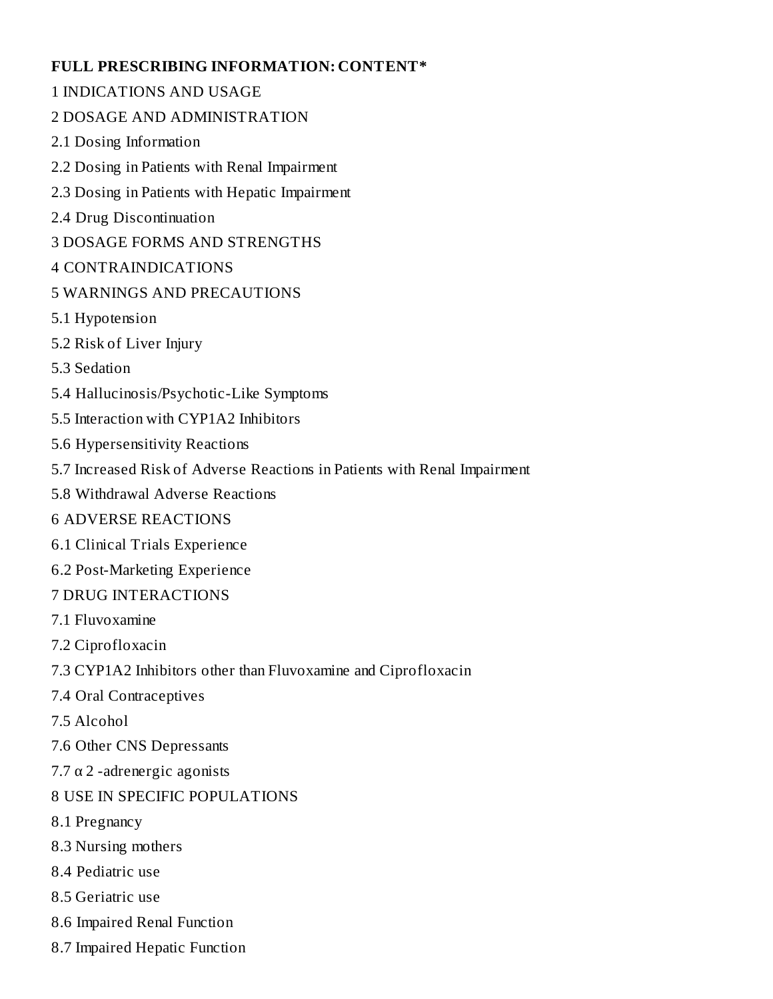#### **FULL PRESCRIBING INFORMATION: CONTENT\***

- 1 INDICATIONS AND USAGE
- 2 DOSAGE AND ADMINISTRATION
- 2.1 Dosing Information
- 2.2 Dosing in Patients with Renal Impairment
- 2.3 Dosing in Patients with Hepatic Impairment
- 2.4 Drug Discontinuation
- 3 DOSAGE FORMS AND STRENGTHS
- 4 CONTRAINDICATIONS
- 5 WARNINGS AND PRECAUTIONS
- 5.1 Hypotension
- 5.2 Risk of Liver Injury
- 5.3 Sedation
- 5.4 Hallucinosis/Psychotic-Like Symptoms
- 5.5 Interaction with CYP1A2 Inhibitors
- 5.6 Hypersensitivity Reactions
- 5.7 Increased Risk of Adverse Reactions in Patients with Renal Impairment
- 5.8 Withdrawal Adverse Reactions
- 6 ADVERSE REACTIONS
- 6.1 Clinical Trials Experience
- 6.2 Post-Marketing Experience
- 7 DRUG INTERACTIONS
- 7.1 Fluvoxamine
- 7.2 Ciprofloxacin
- 7.3 CYP1A2 Inhibitors other than Fluvoxamine and Ciprofloxacin
- 7.4 Oral Contraceptives
- 7.5 Alcohol
- 7.6 Other CNS Depressants
- $7.7 \alpha$  2 -adrenergic agonists
- 8 USE IN SPECIFIC POPULATIONS
- 8.1 Pregnancy
- 8.3 Nursing mothers
- 8.4 Pediatric use
- 8.5 Geriatric use
- 8.6 Impaired Renal Function
- 8.7 Impaired Hepatic Function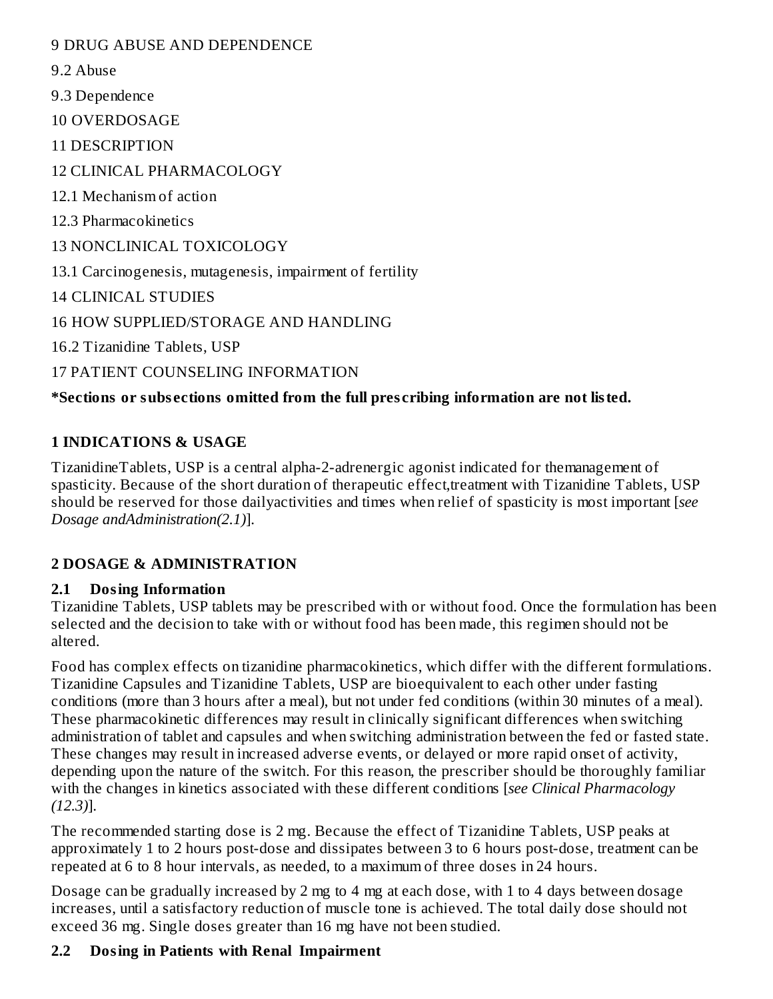9 DRUG ABUSE AND DEPENDENCE

9.2 Abuse

9.3 Dependence

10 OVERDOSAGE

11 DESCRIPTION

12 CLINICAL PHARMACOLOGY

12.1 Mechanism of action

12.3 Pharmacokinetics

13 NONCLINICAL TOXICOLOGY

13.1 Carcinogenesis, mutagenesis, impairment of fertility

14 CLINICAL STUDIES

16 HOW SUPPLIED/STORAGE AND HANDLING

16.2 Tizanidine Tablets, USP

17 PATIENT COUNSELING INFORMATION

## **\*Sections or subs ections omitted from the full pres cribing information are not listed.**

### **1 INDICATIONS & USAGE**

TizanidineTablets, USP is a central alpha-2-adrenergic agonist indicated for themanagement of spasticity. Because of the short duration of therapeutic effect,treatment with Tizanidine Tablets, USP should be reserved for those dailyactivities and times when relief of spasticity is most important [*see Dosage andAdministration(2.1)*].

## **2 DOSAGE & ADMINISTRATION**

## **2.1 Dosing Information**

Tizanidine Tablets, USP tablets may be prescribed with or without food. Once the formulation has been selected and the decision to take with or without food has been made, this regimen should not be altered.

Food has complex effects on tizanidine pharmacokinetics, which differ with the different formulations. Tizanidine Capsules and Tizanidine Tablets, USP are bioequivalent to each other under fasting conditions (more than 3 hours after a meal), but not under fed conditions (within 30 minutes of a meal). These pharmacokinetic differences may result in clinically significant differences when switching administration of tablet and capsules and when switching administration between the fed or fasted state. These changes may result in increased adverse events, or delayed or more rapid onset of activity, depending upon the nature of the switch. For this reason, the prescriber should be thoroughly familiar with the changes in kinetics associated with these different conditions [*see Clinical Pharmacology (12.3)*].

The recommended starting dose is 2 mg. Because the effect of Tizanidine Tablets, USP peaks at approximately 1 to 2 hours post-dose and dissipates between 3 to 6 hours post-dose, treatment can be repeated at 6 to 8 hour intervals, as needed, to a maximum of three doses in 24 hours.

Dosage can be gradually increased by 2 mg to 4 mg at each dose, with 1 to 4 days between dosage increases, until a satisfactory reduction of muscle tone is achieved. The total daily dose should not exceed 36 mg. Single doses greater than 16 mg have not been studied.

## **2.2 Dosing in Patients with Renal Impairment**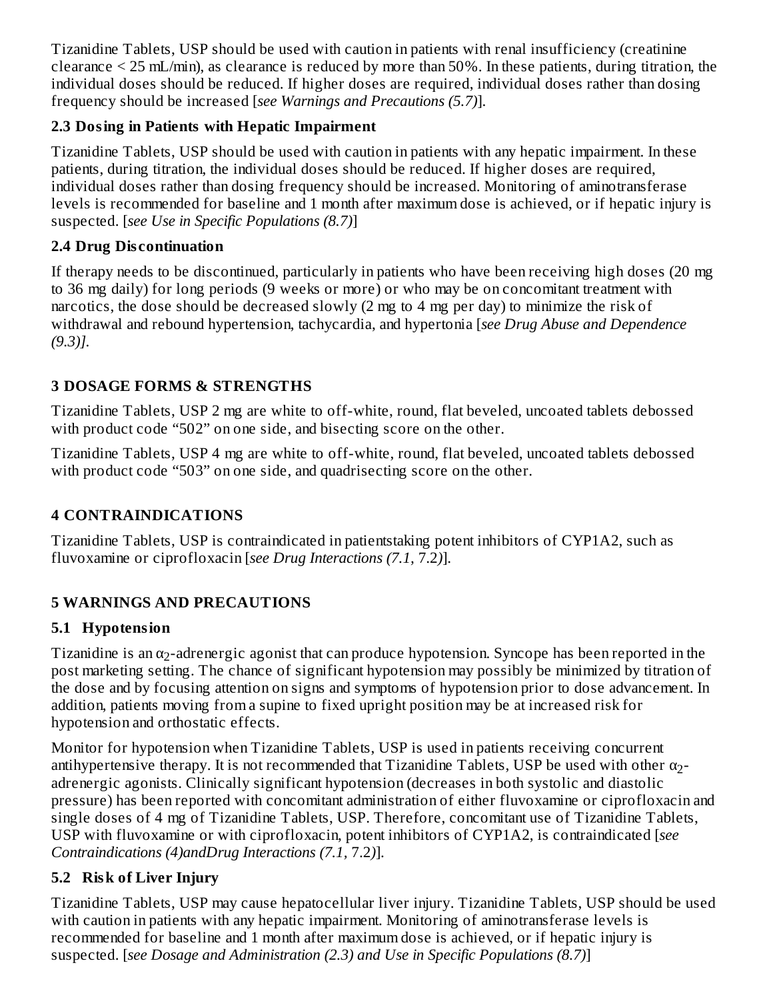Tizanidine Tablets, USP should be used with caution in patients with renal insufficiency (creatinine clearance < 25 mL/min), as clearance is reduced by more than 50%. In these patients, during titration, the individual doses should be reduced. If higher doses are required, individual doses rather than dosing frequency should be increased [*see Warnings and Precautions (5.7)*].

## **2.3 Dosing in Patients with Hepatic Impairment**

Tizanidine Tablets, USP should be used with caution in patients with any hepatic impairment. In these patients, during titration, the individual doses should be reduced. If higher doses are required, individual doses rather than dosing frequency should be increased. Monitoring of aminotransferase levels is recommended for baseline and 1 month after maximum dose is achieved, or if hepatic injury is suspected. [*see Use in Specific Populations (8.7)*]

## **2.4 Drug Dis continuation**

If therapy needs to be discontinued, particularly in patients who have been receiving high doses (20 mg to 36 mg daily) for long periods (9 weeks or more) or who may be on concomitant treatment with narcotics, the dose should be decreased slowly (2 mg to 4 mg per day) to minimize the risk of withdrawal and rebound hypertension, tachycardia, and hypertonia [*see Drug Abuse and Dependence (9.3)].*

# **3 DOSAGE FORMS & STRENGTHS**

Tizanidine Tablets, USP 2 mg are white to off-white, round, flat beveled, uncoated tablets debossed with product code "502" on one side, and bisecting score on the other.

Tizanidine Tablets, USP 4 mg are white to off-white, round, flat beveled, uncoated tablets debossed with product code "503" on one side, and quadrisecting score on the other.

# **4 CONTRAINDICATIONS**

Tizanidine Tablets, USP is contraindicated in patientstaking potent inhibitors of CYP1A2, such as fluvoxamine or ciprofloxacin [*see Drug Interactions (7.1,* 7.2*)*].

# **5 WARNINGS AND PRECAUTIONS**

## **5.1 Hypotension**

Tizanidine is an  $\alpha_2$ -adrenergic agonist that can produce hypotension. Syncope has been reported in the post marketing setting. The chance of significant hypotension may possibly be minimized by titration of the dose and by focusing attention on signs and symptoms of hypotension prior to dose advancement. In addition, patients moving from a supine to fixed upright position may be at increased risk for hypotension and orthostatic effects.

Monitor for hypotension when Tizanidine Tablets, USP is used in patients receiving concurrent antihypertensive therapy. It is not recommended that Tizanidine Tablets, USP be used with other  $\alpha_2$ adrenergic agonists. Clinically significant hypotension (decreases in both systolic and diastolic pressure) has been reported with concomitant administration of either fluvoxamine or ciprofloxacin and single doses of 4 mg of Tizanidine Tablets, USP. Therefore, concomitant use of Tizanidine Tablets, USP with fluvoxamine or with ciprofloxacin, potent inhibitors of CYP1A2, is contraindicated [*see Contraindications (4)andDrug Interactions (7.1,* 7.2*)*].

# **5.2 Risk of Liver Injury**

Tizanidine Tablets, USP may cause hepatocellular liver injury. Tizanidine Tablets, USP should be used with caution in patients with any hepatic impairment. Monitoring of aminotransferase levels is recommended for baseline and 1 month after maximum dose is achieved, or if hepatic injury is suspected. [*see Dosage and Administration (2.3) and Use in Specific Populations (8.7)*]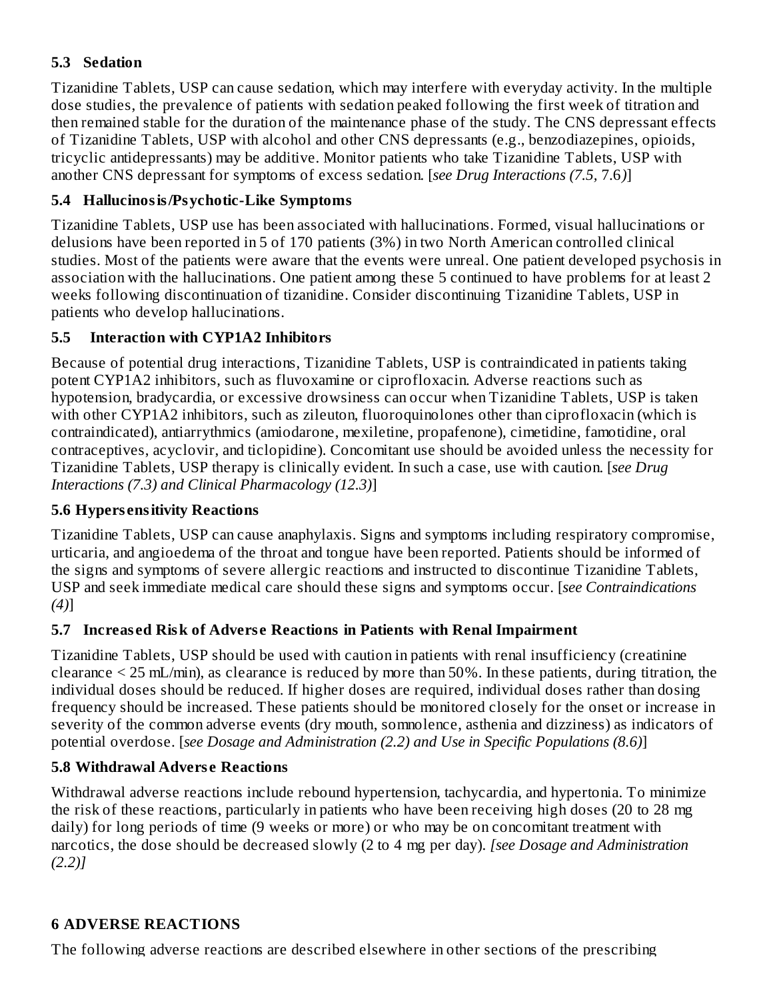## **5.3 Sedation**

Tizanidine Tablets, USP can cause sedation, which may interfere with everyday activity. In the multiple dose studies, the prevalence of patients with sedation peaked following the first week of titration and then remained stable for the duration of the maintenance phase of the study. The CNS depressant effects of Tizanidine Tablets, USP with alcohol and other CNS depressants (e.g., benzodiazepines, opioids, tricyclic antidepressants) may be additive. Monitor patients who take Tizanidine Tablets, USP with another CNS depressant for symptoms of excess sedation. [*see Drug Interactions (7.5,* 7.6*)*]

### **5.4 Hallucinosis/Psychotic-Like Symptoms**

Tizanidine Tablets, USP use has been associated with hallucinations. Formed, visual hallucinations or delusions have been reported in 5 of 170 patients (3%) in two North American controlled clinical studies. Most of the patients were aware that the events were unreal. One patient developed psychosis in association with the hallucinations. One patient among these 5 continued to have problems for at least 2 weeks following discontinuation of tizanidine. Consider discontinuing Tizanidine Tablets, USP in patients who develop hallucinations.

### **5.5 Interaction with CYP1A2 Inhibitors**

Because of potential drug interactions, Tizanidine Tablets, USP is contraindicated in patients taking potent CYP1A2 inhibitors, such as fluvoxamine or ciprofloxacin. Adverse reactions such as hypotension, bradycardia, or excessive drowsiness can occur when Tizanidine Tablets, USP is taken with other CYP1A2 inhibitors, such as zileuton, fluoroquinolones other than ciprofloxacin (which is contraindicated), antiarrythmics (amiodarone, mexiletine, propafenone), cimetidine, famotidine, oral contraceptives, acyclovir, and ticlopidine). Concomitant use should be avoided unless the necessity for Tizanidine Tablets, USP therapy is clinically evident. In such a case, use with caution. [*see Drug Interactions (7.3) and Clinical Pharmacology (12.3)*]

### **5.6 Hypers ensitivity Reactions**

Tizanidine Tablets, USP can cause anaphylaxis. Signs and symptoms including respiratory compromise, urticaria, and angioedema of the throat and tongue have been reported. Patients should be informed of the signs and symptoms of severe allergic reactions and instructed to discontinue Tizanidine Tablets, USP and seek immediate medical care should these signs and symptoms occur. [*see Contraindications (4)*]

## **5.7 Increas ed Risk of Advers e Reactions in Patients with Renal Impairment**

Tizanidine Tablets, USP should be used with caution in patients with renal insufficiency (creatinine clearance < 25 mL/min), as clearance is reduced by more than 50%. In these patients, during titration, the individual doses should be reduced. If higher doses are required, individual doses rather than dosing frequency should be increased. These patients should be monitored closely for the onset or increase in severity of the common adverse events (dry mouth, somnolence, asthenia and dizziness) as indicators of potential overdose. [*see Dosage and Administration (2.2) and Use in Specific Populations (8.6)*]

### **5.8 Withdrawal Advers e Reactions**

Withdrawal adverse reactions include rebound hypertension, tachycardia, and hypertonia. To minimize the risk of these reactions, particularly in patients who have been receiving high doses (20 to 28 mg daily) for long periods of time (9 weeks or more) or who may be on concomitant treatment with narcotics, the dose should be decreased slowly (2 to 4 mg per day). *[see Dosage and Administration (2.2)]*

### **6 ADVERSE REACTIONS**

The following adverse reactions are described elsewhere in other sections of the prescribing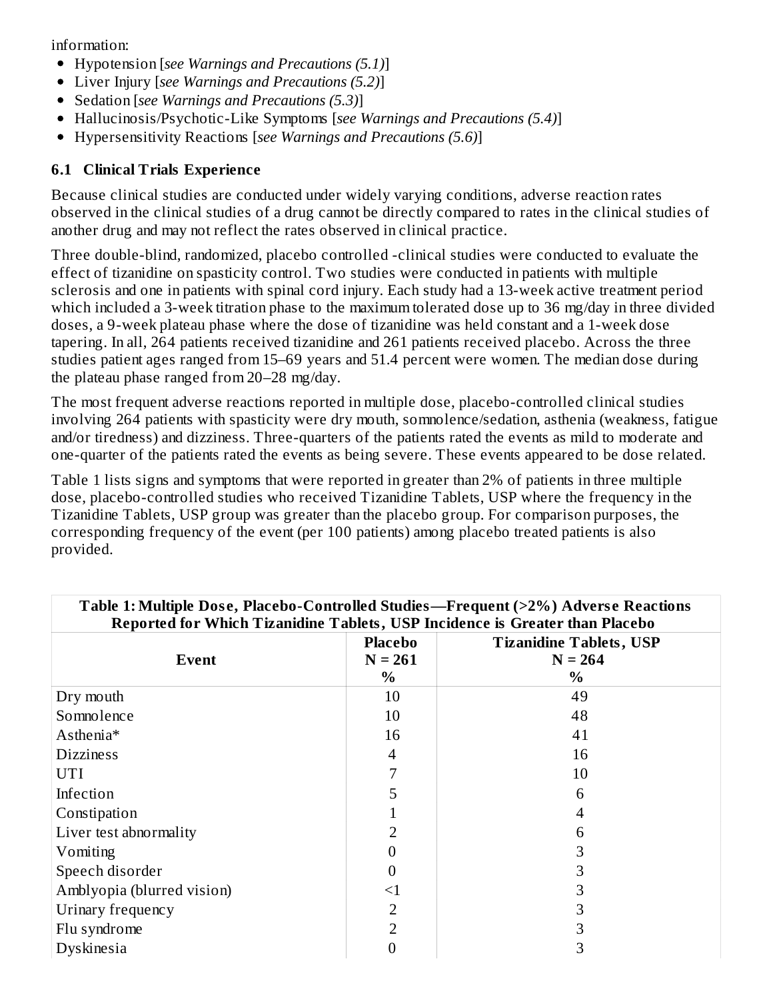information:

- Hypotension [*see Warnings and Precautions (5.1)*]
- Liver Injury [*see Warnings and Precautions (5.2)*]
- Sedation [*see Warnings and Precautions (5.3)*]
- Hallucinosis/Psychotic-Like Symptoms [*see Warnings and Precautions (5.4)*]
- Hypersensitivity Reactions [*see Warnings and Precautions (5.6)*]

### **6.1 Clinical Trials Experience**

Because clinical studies are conducted under widely varying conditions, adverse reaction rates observed in the clinical studies of a drug cannot be directly compared to rates in the clinical studies of another drug and may not reflect the rates observed in clinical practice.

Three double-blind, randomized, placebo controlled -clinical studies were conducted to evaluate the effect of tizanidine on spasticity control. Two studies were conducted in patients with multiple sclerosis and one in patients with spinal cord injury. Each study had a 13-week active treatment period which included a 3-week titration phase to the maximum tolerated dose up to 36 mg/day in three divided doses, a 9-week plateau phase where the dose of tizanidine was held constant and a 1-week dose tapering. In all, 264 patients received tizanidine and 261 patients received placebo. Across the three studies patient ages ranged from 15–69 years and 51.4 percent were women. The median dose during the plateau phase ranged from 20–28 mg/day.

The most frequent adverse reactions reported in multiple dose, placebo-controlled clinical studies involving 264 patients with spasticity were dry mouth, somnolence/sedation, asthenia (weakness, fatigue and/or tiredness) and dizziness. Three-quarters of the patients rated the events as mild to moderate and one-quarter of the patients rated the events as being severe. These events appeared to be dose related.

Table 1 lists signs and symptoms that were reported in greater than 2% of patients in three multiple dose, placebo-controlled studies who received Tizanidine Tablets, USP where the frequency in the Tizanidine Tablets, USP group was greater than the placebo group. For comparison purposes, the corresponding frequency of the event (per 100 patients) among placebo treated patients is also provided.

| Table 1: Multiple Dose, Placebo-Controlled Studies—Frequent (>2%) Adverse Reactions<br>Reported for Which Tizanidine Tablets, USP Incidence is Greater than Placebo |                   |                                |  |  |  |
|---------------------------------------------------------------------------------------------------------------------------------------------------------------------|-------------------|--------------------------------|--|--|--|
|                                                                                                                                                                     | <b>Placebo</b>    | <b>Tizanidine Tablets, USP</b> |  |  |  |
| Event                                                                                                                                                               | $N = 261$<br>$\%$ | $N = 264$<br>$\%$              |  |  |  |
| Dry mouth                                                                                                                                                           | 10                | 49                             |  |  |  |
| Somnolence                                                                                                                                                          | 10                | 48                             |  |  |  |
| Asthenia*                                                                                                                                                           | 16                | 41                             |  |  |  |
| <b>Dizziness</b>                                                                                                                                                    | 4                 | 16                             |  |  |  |
| <b>UTI</b>                                                                                                                                                          | 7                 | 10                             |  |  |  |
| Infection                                                                                                                                                           | 5                 | 6                              |  |  |  |
| Constipation                                                                                                                                                        |                   | 4                              |  |  |  |
| Liver test abnormality                                                                                                                                              | 2                 | 6                              |  |  |  |
| Vomiting                                                                                                                                                            | 0                 | 3                              |  |  |  |
| Speech disorder                                                                                                                                                     | 0                 | 3                              |  |  |  |
| Amblyopia (blurred vision)                                                                                                                                          | $<$ 1             | 3                              |  |  |  |
| Urinary frequency                                                                                                                                                   | 2                 | 3                              |  |  |  |
| Flu syndrome                                                                                                                                                        | 2                 | 3                              |  |  |  |
| Dyskinesia                                                                                                                                                          | 0                 | 3                              |  |  |  |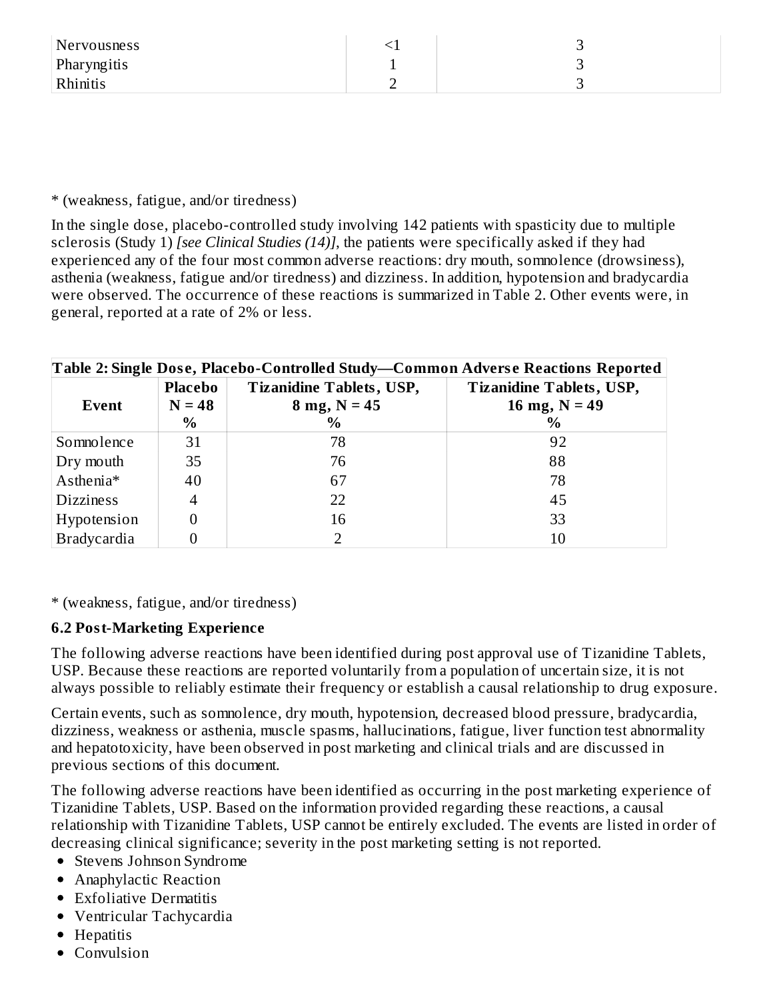| Nervousness | <u>.</u> |  |
|-------------|----------|--|
| Pharyngitis |          |  |
| Rhinitis    | -        |  |

\* (weakness, fatigue, and/or tiredness)

In the single dose, placebo-controlled study involving 142 patients with spasticity due to multiple sclerosis (Study 1) *[see Clinical Studies (14)]*, the patients were specifically asked if they had experienced any of the four most common adverse reactions: dry mouth, somnolence (drowsiness), asthenia (weakness, fatigue and/or tiredness) and dizziness. In addition, hypotension and bradycardia were observed. The occurrence of these reactions is summarized in Table 2. Other events were, in general, reported at a rate of 2% or less.

| Table 2: Single Dose, Placebo-Controlled Study—Common Adverse Reactions Reported |          |                                 |                                 |  |  |  |
|----------------------------------------------------------------------------------|----------|---------------------------------|---------------------------------|--|--|--|
|                                                                                  | Placebo  | <b>Tizanidine Tablets, USP,</b> | <b>Tizanidine Tablets, USP,</b> |  |  |  |
| Event                                                                            | $N = 48$ | $8 \text{ mg}, N = 45$          | 16 mg, $N = 49$                 |  |  |  |
|                                                                                  | $\%$     | $\%$                            | $\%$                            |  |  |  |
| Somnolence                                                                       | 31       | 78                              | 92                              |  |  |  |
| Dry mouth                                                                        | 35       | 76                              | 88                              |  |  |  |
| Asthenia*                                                                        | 40       | 67                              | 78                              |  |  |  |
| <b>Dizziness</b>                                                                 | 4        | 22                              | 45                              |  |  |  |
| Hypotension                                                                      |          | 16                              | 33                              |  |  |  |
| <b>Bradycardia</b>                                                               |          |                                 | 10                              |  |  |  |

\* (weakness, fatigue, and/or tiredness)

### **6.2 Post-Marketing Experience**

The following adverse reactions have been identified during post approval use of Tizanidine Tablets, USP. Because these reactions are reported voluntarily from a population of uncertain size, it is not always possible to reliably estimate their frequency or establish a causal relationship to drug exposure.

Certain events, such as somnolence, dry mouth, hypotension, decreased blood pressure, bradycardia, dizziness, weakness or asthenia, muscle spasms, hallucinations, fatigue, liver function test abnormality and hepatotoxicity, have been observed in post marketing and clinical trials and are discussed in previous sections of this document.

The following adverse reactions have been identified as occurring in the post marketing experience of Tizanidine Tablets, USP. Based on the information provided regarding these reactions, a causal relationship with Tizanidine Tablets, USP cannot be entirely excluded. The events are listed in order of decreasing clinical significance; severity in the post marketing setting is not reported.

- Stevens Johnson Syndrome
- Anaphylactic Reaction
- Exfoliative Dermatitis
- Ventricular Tachycardia
- Hepatitis
- Convulsion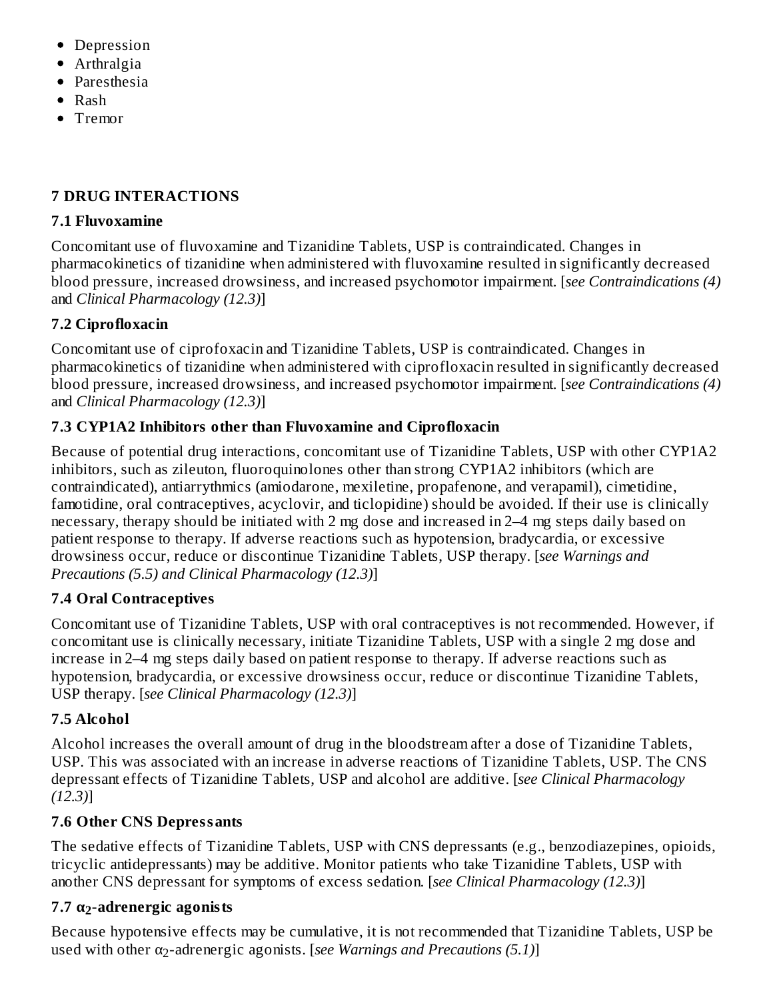- Depression
- Arthralgia
- Paresthesia
- $\bullet$  Rash
- Tremor

## **7 DRUG INTERACTIONS**

## **7.1 Fluvoxamine**

Concomitant use of fluvoxamine and Tizanidine Tablets, USP is contraindicated. Changes in pharmacokinetics of tizanidine when administered with fluvoxamine resulted in significantly decreased blood pressure, increased drowsiness, and increased psychomotor impairment. [*see Contraindications (4)* and *Clinical Pharmacology (12.3)*]

# **7.2 Ciprofloxacin**

Concomitant use of ciprofoxacin and Tizanidine Tablets, USP is contraindicated. Changes in pharmacokinetics of tizanidine when administered with ciprofloxacin resulted in significantly decreased blood pressure, increased drowsiness, and increased psychomotor impairment. [*see Contraindications (4)* and *Clinical Pharmacology (12.3)*]

# **7.3 CYP1A2 Inhibitors other than Fluvoxamine and Ciprofloxacin**

Because of potential drug interactions, concomitant use of Tizanidine Tablets, USP with other CYP1A2 inhibitors, such as zileuton, fluoroquinolones other than strong CYP1A2 inhibitors (which are contraindicated), antiarrythmics (amiodarone, mexiletine, propafenone, and verapamil), cimetidine, famotidine, oral contraceptives, acyclovir, and ticlopidine) should be avoided. If their use is clinically necessary, therapy should be initiated with 2 mg dose and increased in 2–4 mg steps daily based on patient response to therapy. If adverse reactions such as hypotension, bradycardia, or excessive drowsiness occur, reduce or discontinue Tizanidine Tablets, USP therapy. [*see Warnings and Precautions (5.5) and Clinical Pharmacology (12.3)*]

# **7.4 Oral Contraceptives**

Concomitant use of Tizanidine Tablets, USP with oral contraceptives is not recommended. However, if concomitant use is clinically necessary, initiate Tizanidine Tablets, USP with a single 2 mg dose and increase in 2–4 mg steps daily based on patient response to therapy. If adverse reactions such as hypotension, bradycardia, or excessive drowsiness occur, reduce or discontinue Tizanidine Tablets, USP therapy. [*see Clinical Pharmacology (12.3)*]

# **7.5 Alcohol**

Alcohol increases the overall amount of drug in the bloodstream after a dose of Tizanidine Tablets, USP. This was associated with an increase in adverse reactions of Tizanidine Tablets, USP. The CNS depressant effects of Tizanidine Tablets, USP and alcohol are additive. [*see Clinical Pharmacology (12.3)*]

# **7.6 Other CNS Depressants**

The sedative effects of Tizanidine Tablets, USP with CNS depressants (e.g., benzodiazepines, opioids, tricyclic antidepressants) may be additive. Monitor patients who take Tizanidine Tablets, USP with another CNS depressant for symptoms of excess sedation. [*see Clinical Pharmacology (12.3)*]

# **7.7 α -adrenergic agonists 2**

Because hypotensive effects may be cumulative, it is not recommended that Tizanidine Tablets, USP be lused with other α<sub>2</sub>-adrenergic agonists. [*see Warnings and Precautions (5.1)*]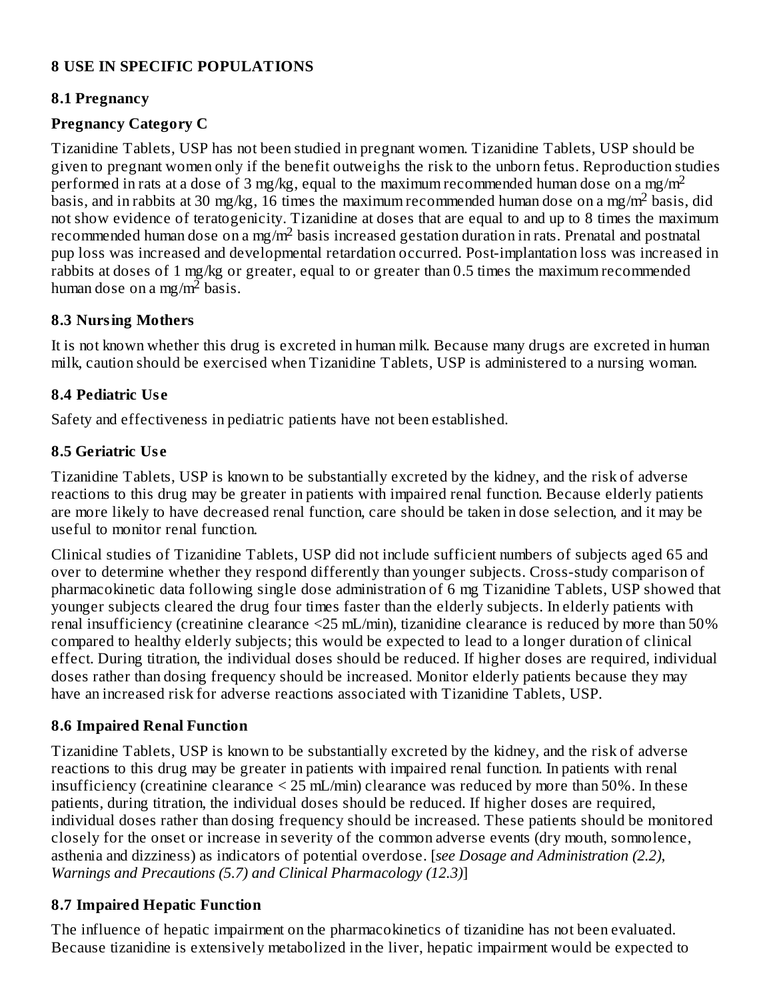### **8 USE IN SPECIFIC POPULATIONS**

#### **8.1 Pregnancy**

### **Pregnancy Category C**

Tizanidine Tablets, USP has not been studied in pregnant women. Tizanidine Tablets, USP should be given to pregnant women only if the benefit outweighs the risk to the unborn fetus. Reproduction studies performed in rats at a dose of 3 mg/kg, equal to the maximum recommended human dose on a mg/m<sup>2</sup> basis, and in rabbits at 30 mg/kg, 16 times the maximum recommended human dose on a mg/m<sup>2</sup> basis, did not show evidence of teratogenicity. Tizanidine at doses that are equal to and up to 8 times the maximum recommended human dose on a mg/m<sup>2</sup> basis increased gestation duration in rats. Prenatal and postnatal pup loss was increased and developmental retardation occurred. Post-implantation loss was increased in rabbits at doses of 1 mg/kg or greater, equal to or greater than 0.5 times the maximum recommended human dose on a mg/m<sup>2</sup> basis.

#### **8.3 Nursing Mothers**

It is not known whether this drug is excreted in human milk. Because many drugs are excreted in human milk, caution should be exercised when Tizanidine Tablets, USP is administered to a nursing woman.

### **8.4 Pediatric Us e**

Safety and effectiveness in pediatric patients have not been established.

### **8.5 Geriatric Us e**

Tizanidine Tablets, USP is known to be substantially excreted by the kidney, and the risk of adverse reactions to this drug may be greater in patients with impaired renal function. Because elderly patients are more likely to have decreased renal function, care should be taken in dose selection, and it may be useful to monitor renal function.

Clinical studies of Tizanidine Tablets, USP did not include sufficient numbers of subjects aged 65 and over to determine whether they respond differently than younger subjects. Cross-study comparison of pharmacokinetic data following single dose administration of 6 mg Tizanidine Tablets, USP showed that younger subjects cleared the drug four times faster than the elderly subjects. In elderly patients with renal insufficiency (creatinine clearance <25 mL/min), tizanidine clearance is reduced by more than 50% compared to healthy elderly subjects; this would be expected to lead to a longer duration of clinical effect. During titration, the individual doses should be reduced. If higher doses are required, individual doses rather than dosing frequency should be increased. Monitor elderly patients because they may have an increased risk for adverse reactions associated with Tizanidine Tablets, USP.

### **8.6 Impaired Renal Function**

Tizanidine Tablets, USP is known to be substantially excreted by the kidney, and the risk of adverse reactions to this drug may be greater in patients with impaired renal function. In patients with renal insufficiency (creatinine clearance < 25 mL/min) clearance was reduced by more than 50%. In these patients, during titration, the individual doses should be reduced. If higher doses are required, individual doses rather than dosing frequency should be increased. These patients should be monitored closely for the onset or increase in severity of the common adverse events (dry mouth, somnolence, asthenia and dizziness) as indicators of potential overdose. [*see Dosage and Administration (2.2), Warnings and Precautions (5.7) and Clinical Pharmacology (12.3)*]

## **8.7 Impaired Hepatic Function**

The influence of hepatic impairment on the pharmacokinetics of tizanidine has not been evaluated. Because tizanidine is extensively metabolized in the liver, hepatic impairment would be expected to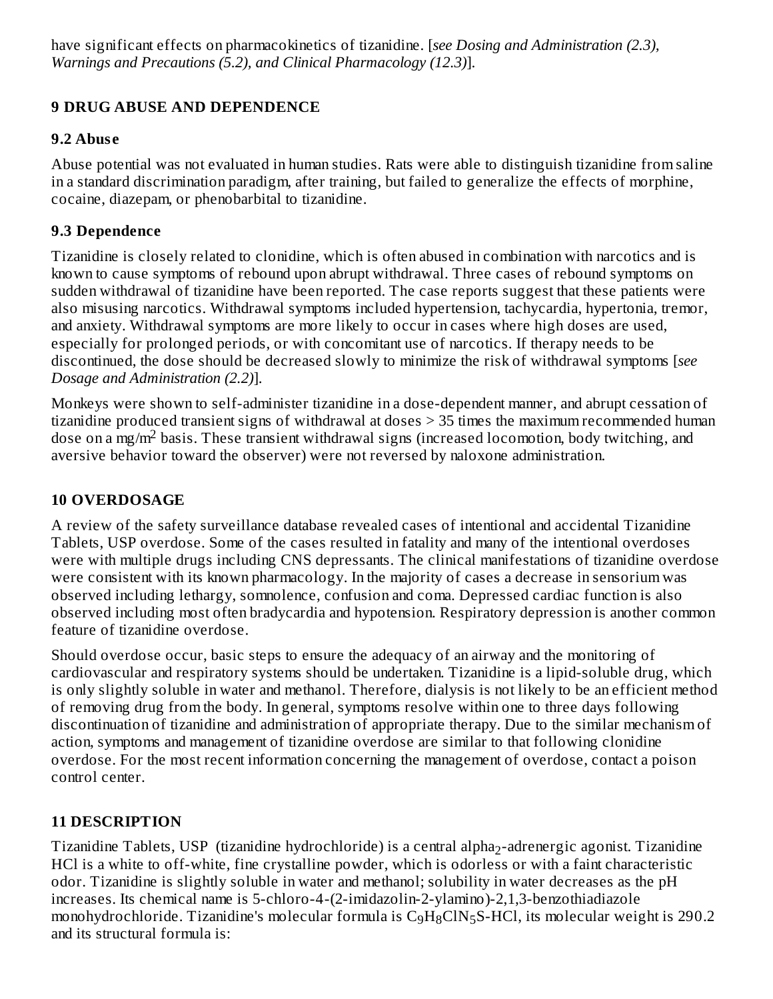have significant effects on pharmacokinetics of tizanidine. [*see Dosing and Administration (2.3), Warnings and Precautions (5.2), and Clinical Pharmacology (12.3)*].

## **9 DRUG ABUSE AND DEPENDENCE**

### **9.2 Abus e**

Abuse potential was not evaluated in human studies. Rats were able to distinguish tizanidine from saline in a standard discrimination paradigm, after training, but failed to generalize the effects of morphine, cocaine, diazepam, or phenobarbital to tizanidine.

## **9.3 Dependence**

Tizanidine is closely related to clonidine, which is often abused in combination with narcotics and is known to cause symptoms of rebound upon abrupt withdrawal. Three cases of rebound symptoms on sudden withdrawal of tizanidine have been reported. The case reports suggest that these patients were also misusing narcotics. Withdrawal symptoms included hypertension, tachycardia, hypertonia, tremor, and anxiety. Withdrawal symptoms are more likely to occur in cases where high doses are used, especially for prolonged periods, or with concomitant use of narcotics. If therapy needs to be discontinued, the dose should be decreased slowly to minimize the risk of withdrawal symptoms [*see Dosage and Administration (2.2)*].

Monkeys were shown to self-administer tizanidine in a dose-dependent manner, and abrupt cessation of tizanidine produced transient signs of withdrawal at doses > 35 times the maximum recommended human dose on a mg/m<sup>2</sup> basis. These transient withdrawal signs (increased locomotion, body twitching, and aversive behavior toward the observer) were not reversed by naloxone administration.

## **10 OVERDOSAGE**

A review of the safety surveillance database revealed cases of intentional and accidental Tizanidine Tablets, USP overdose. Some of the cases resulted in fatality and many of the intentional overdoses were with multiple drugs including CNS depressants. The clinical manifestations of tizanidine overdose were consistent with its known pharmacology. In the majority of cases a decrease in sensorium was observed including lethargy, somnolence, confusion and coma. Depressed cardiac function is also observed including most often bradycardia and hypotension. Respiratory depression is another common feature of tizanidine overdose.

Should overdose occur, basic steps to ensure the adequacy of an airway and the monitoring of cardiovascular and respiratory systems should be undertaken. Tizanidine is a lipid-soluble drug, which is only slightly soluble in water and methanol. Therefore, dialysis is not likely to be an efficient method of removing drug from the body. In general, symptoms resolve within one to three days following discontinuation of tizanidine and administration of appropriate therapy. Due to the similar mechanism of action, symptoms and management of tizanidine overdose are similar to that following clonidine overdose. For the most recent information concerning the management of overdose, contact a poison control center.

## **11 DESCRIPTION**

Tizanidine Tablets, USP (tizanidine hydrochloride) is a central alpha<sub>2</sub>-adrenergic agonist. Tizanidine HCl is a white to off-white, fine crystalline powder, which is odorless or with a faint characteristic odor. Tizanidine is slightly soluble in water and methanol; solubility in water decreases as the pH increases. Its chemical name is 5-chloro-4-(2-imidazolin-2-ylamino)-2,1,3-benzothiadiazole monohydrochloride. Tizanidine's molecular formula is  $\rm{C_9H_8CIN_5S-HCl}$ , its molecular weight is 290.2 and its structural formula is: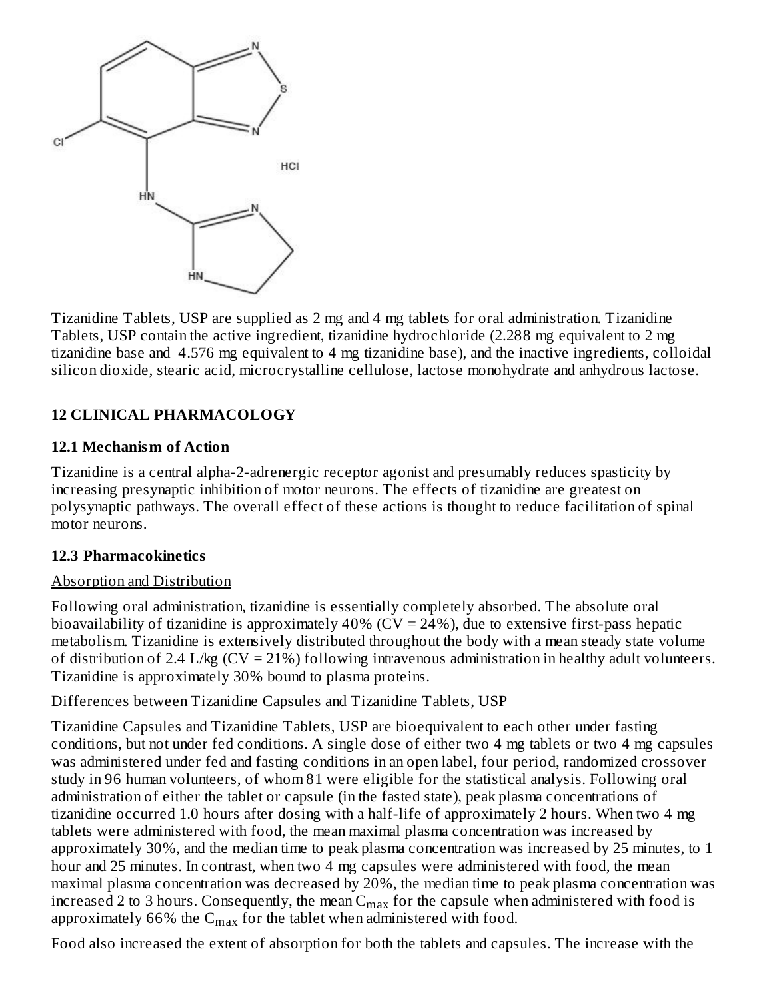

Tizanidine Tablets, USP are supplied as 2 mg and 4 mg tablets for oral administration. Tizanidine Tablets, USP contain the active ingredient, tizanidine hydrochloride (2.288 mg equivalent to 2 mg tizanidine base and 4.576 mg equivalent to 4 mg tizanidine base), and the inactive ingredients, colloidal silicon dioxide, stearic acid, microcrystalline cellulose, lactose monohydrate and anhydrous lactose.

## **12 CLINICAL PHARMACOLOGY**

#### **12.1 Mechanism of Action**

Tizanidine is a central alpha-2-adrenergic receptor agonist and presumably reduces spasticity by increasing presynaptic inhibition of motor neurons. The effects of tizanidine are greatest on polysynaptic pathways. The overall effect of these actions is thought to reduce facilitation of spinal motor neurons.

#### **12.3 Pharmacokinetics**

#### Absorption and Distribution

Following oral administration, tizanidine is essentially completely absorbed. The absolute oral bioavailability of tizanidine is approximately  $40\%$  (CV = 24%), due to extensive first-pass hepatic metabolism. Tizanidine is extensively distributed throughout the body with a mean steady state volume of distribution of 2.4 L/kg (CV = 21%) following intravenous administration in healthy adult volunteers. Tizanidine is approximately 30% bound to plasma proteins.

Differences between Tizanidine Capsules and Tizanidine Tablets, USP

Tizanidine Capsules and Tizanidine Tablets, USP are bioequivalent to each other under fasting conditions, but not under fed conditions. A single dose of either two 4 mg tablets or two 4 mg capsules was administered under fed and fasting conditions in an open label, four period, randomized crossover study in 96 human volunteers, of whom 81 were eligible for the statistical analysis. Following oral administration of either the tablet or capsule (in the fasted state), peak plasma concentrations of tizanidine occurred 1.0 hours after dosing with a half-life of approximately 2 hours. When two 4 mg tablets were administered with food, the mean maximal plasma concentration was increased by approximately 30%, and the median time to peak plasma concentration was increased by 25 minutes, to 1 hour and 25 minutes. In contrast, when two 4 mg capsules were administered with food, the mean maximal plasma concentration was decreased by 20%, the median time to peak plasma concentration was increased 2 to 3 hours. Consequently, the mean  $\mathsf{C}_{\max}$  for the capsule when administered with food is approximately 66% the  $\mathsf{C}_{\max}$  for the tablet when administered with food.

Food also increased the extent of absorption for both the tablets and capsules. The increase with the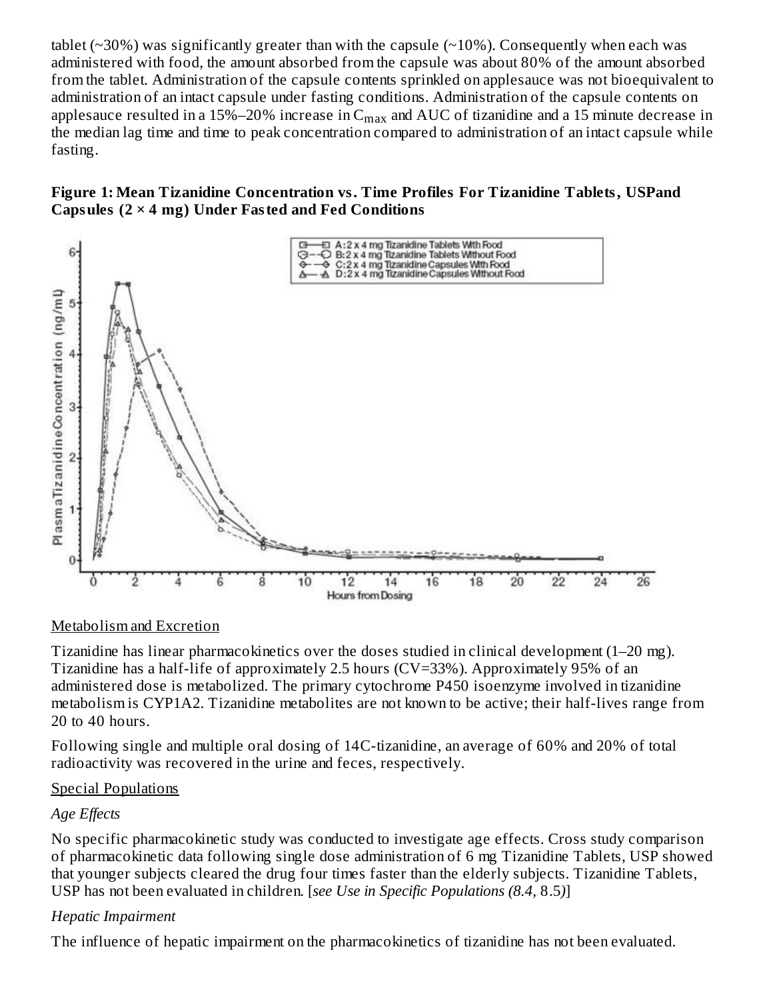tablet ( $\sim$ 30%) was significantly greater than with the capsule ( $\sim$ 10%). Consequently when each was administered with food, the amount absorbed from the capsule was about 80% of the amount absorbed from the tablet. Administration of the capsule contents sprinkled on applesauce was not bioequivalent to administration of an intact capsule under fasting conditions. Administration of the capsule contents on applesauce resulted in a 15%–20% increase in  $\rm{C_{max}}$  and  $\rm{AUC}$  of tizanidine and a 15 minute decrease in the median lag time and time to peak concentration compared to administration of an intact capsule while fasting.





### Metabolism and Excretion

Tizanidine has linear pharmacokinetics over the doses studied in clinical development (1–20 mg). Tizanidine has a half-life of approximately 2.5 hours (CV=33%). Approximately 95% of an administered dose is metabolized. The primary cytochrome P450 isoenzyme involved in tizanidine metabolism is CYP1A2. Tizanidine metabolites are not known to be active; their half-lives range from 20 to 40 hours.

Following single and multiple oral dosing of 14C-tizanidine, an average of 60% and 20% of total radioactivity was recovered in the urine and feces, respectively.

#### Special Populations

### *Age Effects*

No specific pharmacokinetic study was conducted to investigate age effects. Cross study comparison of pharmacokinetic data following single dose administration of 6 mg Tizanidine Tablets, USP showed that younger subjects cleared the drug four times faster than the elderly subjects. Tizanidine Tablets, USP has not been evaluated in children. [*see Use in Specific Populations (8.4,* 8.5*)*]

### *Hepatic Impairment*

The influence of hepatic impairment on the pharmacokinetics of tizanidine has not been evaluated.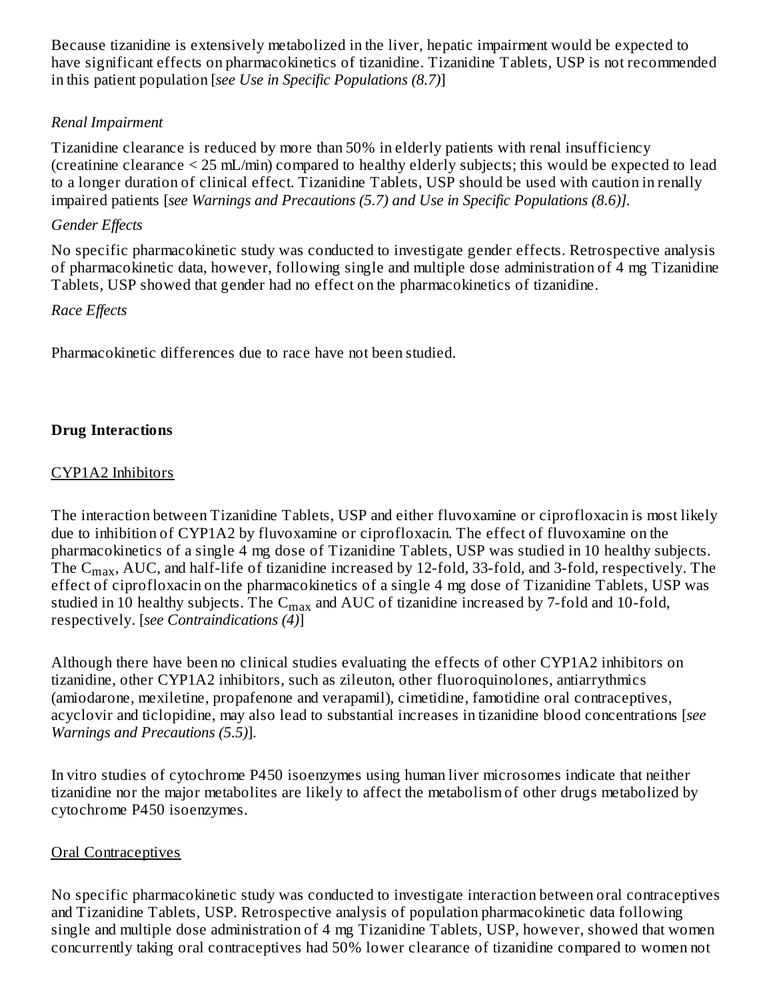Because tizanidine is extensively metabolized in the liver, hepatic impairment would be expected to have significant effects on pharmacokinetics of tizanidine. Tizanidine Tablets, USP is not recommended in this patient population [*see Use in Specific Populations (8.7)*]

### *Renal Impairment*

Tizanidine clearance is reduced by more than 50% in elderly patients with renal insufficiency (creatinine clearance < 25 mL/min) compared to healthy elderly subjects; this would be expected to lead to a longer duration of clinical effect. Tizanidine Tablets, USP should be used with caution in renally impaired patients [*see Warnings and Precautions (5.7) and Use in Specific Populations (8.6)].*

#### *Gender Effects*

No specific pharmacokinetic study was conducted to investigate gender effects. Retrospective analysis of pharmacokinetic data, however, following single and multiple dose administration of 4 mg Tizanidine Tablets, USP showed that gender had no effect on the pharmacokinetics of tizanidine.

#### *Race Effects*

Pharmacokinetic differences due to race have not been studied.

### **Drug Interactions**

#### CYP1A2 Inhibitors

The interaction between Tizanidine Tablets, USP and either fluvoxamine or ciprofloxacin is most likely due to inhibition of CYP1A2 by fluvoxamine or ciprofloxacin. The effect of fluvoxamine on the pharmacokinetics of a single 4 mg dose of Tizanidine Tablets, USP was studied in 10 healthy subjects. The  $\rm{C_{max}}$ , AUC, and half-life of tizanidine increased by 12-fold, 33-fold, and 3-fold, respectively. The effect of ciprofloxacin on the pharmacokinetics of a single 4 mg dose of Tizanidine Tablets, USP was studied in 10 healthy subjects. The  $\mathsf{C}_{\max}$  and  $\mathsf{AUC}$  of tizanidine increased by 7-fold and 10-fold, respectively. [*see Contraindications (4)*]

Although there have been no clinical studies evaluating the effects of other CYP1A2 inhibitors on tizanidine, other CYP1A2 inhibitors, such as zileuton, other fluoroquinolones, antiarrythmics (amiodarone, mexiletine, propafenone and verapamil), cimetidine, famotidine oral contraceptives, acyclovir and ticlopidine, may also lead to substantial increases in tizanidine blood concentrations [*see Warnings and Precautions (5.5)*].

In vitro studies of cytochrome P450 isoenzymes using human liver microsomes indicate that neither tizanidine nor the major metabolites are likely to affect the metabolism of other drugs metabolized by cytochrome P450 isoenzymes.

#### Oral Contraceptives

No specific pharmacokinetic study was conducted to investigate interaction between oral contraceptives and Tizanidine Tablets, USP. Retrospective analysis of population pharmacokinetic data following single and multiple dose administration of 4 mg Tizanidine Tablets, USP, however, showed that women concurrently taking oral contraceptives had 50% lower clearance of tizanidine compared to women not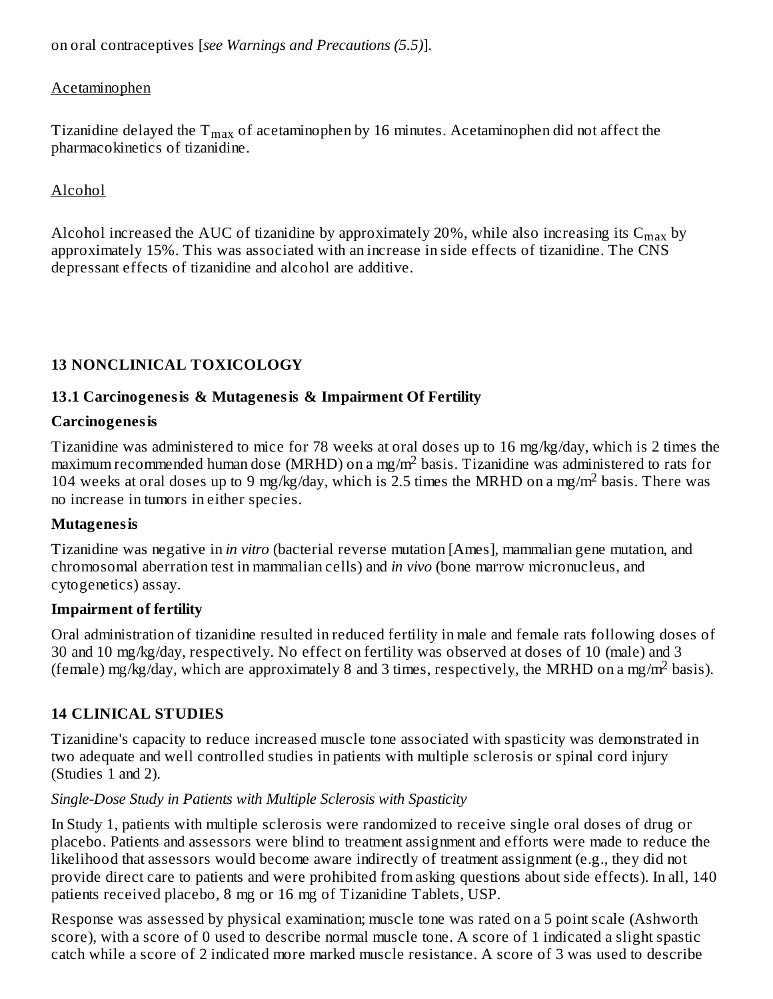on oral contraceptives [*see Warnings and Precautions (5.5)*].

## Acetaminophen

Tizanidine delayed the  $\rm T_{max}$  of acetaminophen by 16 minutes. Acetaminophen did not affect the pharmacokinetics of tizanidine.

## Alcohol

Alcohol increased the AUC of tizanidine by approximately 20%, while also increasing its  $\rm{C_{max}}$  by approximately 15%. This was associated with an increase in side effects of tizanidine. The CNS depressant effects of tizanidine and alcohol are additive.

## **13 NONCLINICAL TOXICOLOGY**

### **13.1 Carcinogenesis & Mutagenesis & Impairment Of Fertility**

### **Carcinogenesis**

Tizanidine was administered to mice for 78 weeks at oral doses up to 16 mg/kg/day, which is 2 times the maximum recommended human dose (MRHD) on a mg/m<sup>2</sup> basis. Tizanidine was administered to rats for 104 weeks at oral doses up to 9 mg/kg/day, which is 2.5 times the MRHD on a mg/m<sup>2</sup> basis. There was no increase in tumors in either species.

### **Mutagenesis**

Tizanidine was negative in *in vitro* (bacterial reverse mutation [Ames], mammalian gene mutation, and chromosomal aberration test in mammalian cells) and *in vivo* (bone marrow micronucleus, and cytogenetics) assay.

### **Impairment of fertility**

Oral administration of tizanidine resulted in reduced fertility in male and female rats following doses of 30 and 10 mg/kg/day, respectively. No effect on fertility was observed at doses of 10 (male) and 3 (female) mg/kg/day, which are approximately 8 and 3 times, respectively, the MRHD on a mg/m<sup>2</sup> basis).

## **14 CLINICAL STUDIES**

Tizanidine's capacity to reduce increased muscle tone associated with spasticity was demonstrated in two adequate and well controlled studies in patients with multiple sclerosis or spinal cord injury (Studies 1 and 2).

### *Single-Dose Study in Patients with Multiple Sclerosis with Spasticity*

In Study 1, patients with multiple sclerosis were randomized to receive single oral doses of drug or placebo. Patients and assessors were blind to treatment assignment and efforts were made to reduce the likelihood that assessors would become aware indirectly of treatment assignment (e.g., they did not provide direct care to patients and were prohibited from asking questions about side effects). In all, 140 patients received placebo, 8 mg or 16 mg of Tizanidine Tablets, USP.

Response was assessed by physical examination; muscle tone was rated on a 5 point scale (Ashworth score), with a score of 0 used to describe normal muscle tone. A score of 1 indicated a slight spastic catch while a score of 2 indicated more marked muscle resistance. A score of 3 was used to describe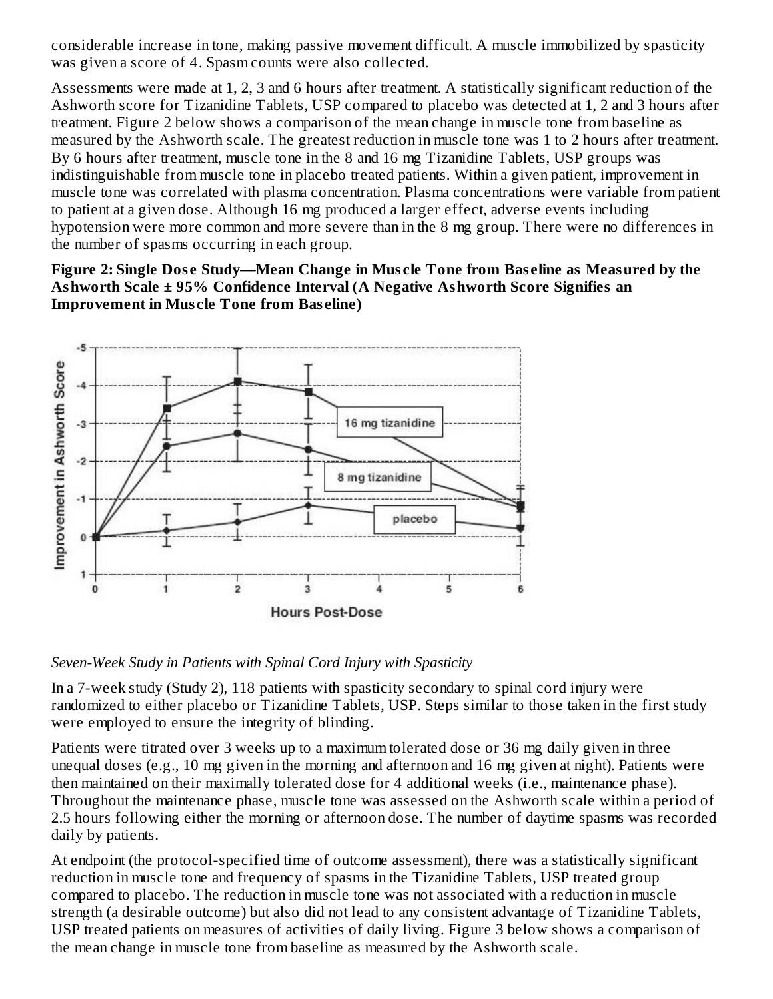considerable increase in tone, making passive movement difficult. A muscle immobilized by spasticity was given a score of 4. Spasm counts were also collected.

Assessments were made at 1, 2, 3 and 6 hours after treatment. A statistically significant reduction of the Ashworth score for Tizanidine Tablets, USP compared to placebo was detected at 1, 2 and 3 hours after treatment. Figure 2 below shows a comparison of the mean change in muscle tone from baseline as measured by the Ashworth scale. The greatest reduction in muscle tone was 1 to 2 hours after treatment. By 6 hours after treatment, muscle tone in the 8 and 16 mg Tizanidine Tablets, USP groups was indistinguishable from muscle tone in placebo treated patients. Within a given patient, improvement in muscle tone was correlated with plasma concentration. Plasma concentrations were variable from patient to patient at a given dose. Although 16 mg produced a larger effect, adverse events including hypotension were more common and more severe than in the 8 mg group. There were no differences in the number of spasms occurring in each group.

**Figure 2: Single Dos e Study—Mean Change in Mus cle Tone from Bas eline as Measured by the Ashworth Scale ± 95% Confidence Interval (A Negative Ashworth Score Signifies an Improvement in Mus cle Tone from Bas eline)**



*Seven-Week Study in Patients with Spinal Cord Injury with Spasticity*

In a 7-week study (Study 2), 118 patients with spasticity secondary to spinal cord injury were randomized to either placebo or Tizanidine Tablets, USP. Steps similar to those taken in the first study were employed to ensure the integrity of blinding.

Patients were titrated over 3 weeks up to a maximum tolerated dose or 36 mg daily given in three unequal doses (e.g., 10 mg given in the morning and afternoon and 16 mg given at night). Patients were then maintained on their maximally tolerated dose for 4 additional weeks (i.e., maintenance phase). Throughout the maintenance phase, muscle tone was assessed on the Ashworth scale within a period of 2.5 hours following either the morning or afternoon dose. The number of daytime spasms was recorded daily by patients.

At endpoint (the protocol-specified time of outcome assessment), there was a statistically significant reduction in muscle tone and frequency of spasms in the Tizanidine Tablets, USP treated group compared to placebo. The reduction in muscle tone was not associated with a reduction in muscle strength (a desirable outcome) but also did not lead to any consistent advantage of Tizanidine Tablets, USP treated patients on measures of activities of daily living. Figure 3 below shows a comparison of the mean change in muscle tone from baseline as measured by the Ashworth scale.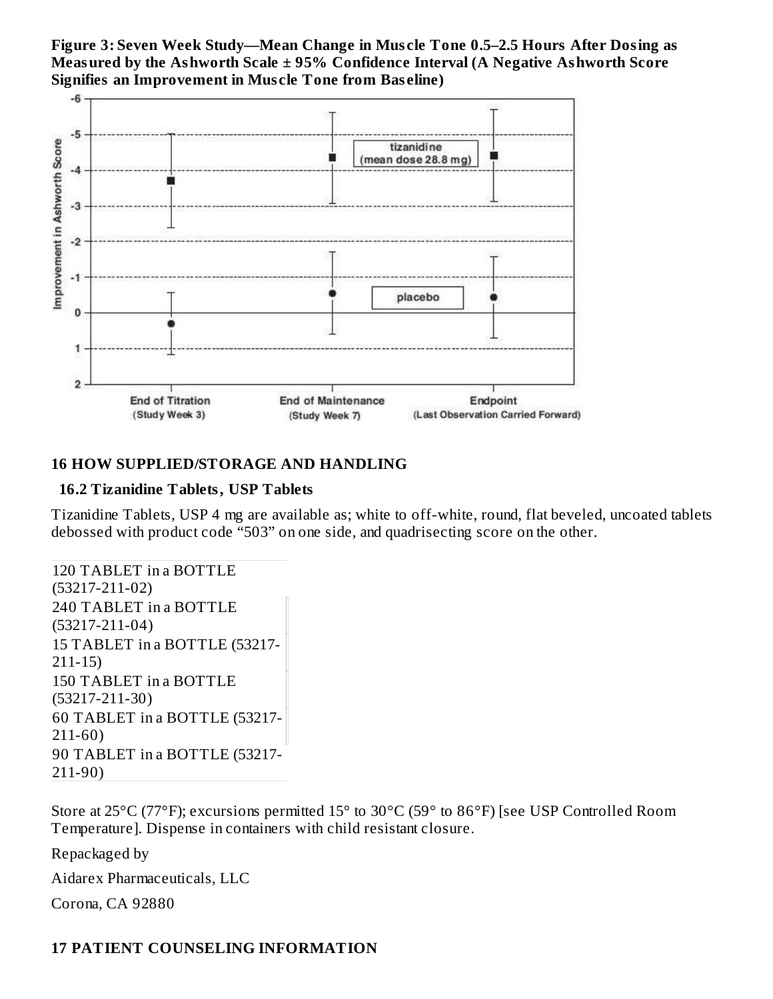**Figure 3: Seven Week Study—Mean Change in Mus cle Tone 0.5–2.5 Hours After Dosing as Measured by the Ashworth Scale ± 95% Confidence Interval (A Negative Ashworth Score Signifies an Improvement in Mus cle Tone from Bas eline)**



### **16 HOW SUPPLIED/STORAGE AND HANDLING**

#### **16.2 Tizanidine Tablets, USP Tablets**

Tizanidine Tablets, USP 4 mg are available as; white to off-white, round, flat beveled, uncoated tablets debossed with product code "503" on one side, and quadrisecting score on the other.

```
120 TABLET in a BOTTLE
(53217-211-02)
240 TABLET in a BOTTLE
(53217-211-04)
15 TABLET in a BOTTLE (53217-
211-15)
150 TABLET in a BOTTLE
(53217-211-30)
60 TABLET in a BOTTLE (53217-
211-60)
90 TABLET in a BOTTLE (53217-
211-90)
```
Store at 25°C (77°F); excursions permitted 15° to 30°C (59° to 86°F) [see USP Controlled Room Temperature]. Dispense in containers with child resistant closure.

Repackaged by

Aidarex Pharmaceuticals, LLC

Corona, CA 92880

# **17 PATIENT COUNSELING INFORMATION**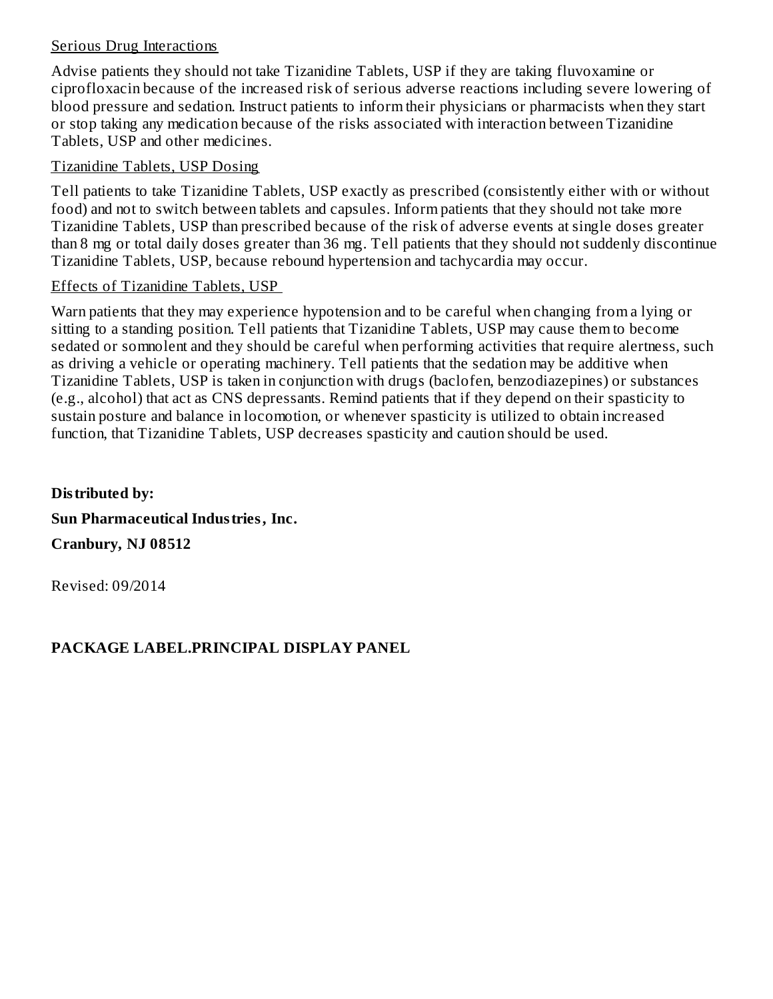#### Serious Drug Interactions

Advise patients they should not take Tizanidine Tablets, USP if they are taking fluvoxamine or ciprofloxacin because of the increased risk of serious adverse reactions including severe lowering of blood pressure and sedation. Instruct patients to inform their physicians or pharmacists when they start or stop taking any medication because of the risks associated with interaction between Tizanidine Tablets, USP and other medicines.

#### Tizanidine Tablets, USP Dosing

Tell patients to take Tizanidine Tablets, USP exactly as prescribed (consistently either with or without food) and not to switch between tablets and capsules. Inform patients that they should not take more Tizanidine Tablets, USP than prescribed because of the risk of adverse events at single doses greater than 8 mg or total daily doses greater than 36 mg. Tell patients that they should not suddenly discontinue Tizanidine Tablets, USP, because rebound hypertension and tachycardia may occur.

#### Effects of Tizanidine Tablets, USP

Warn patients that they may experience hypotension and to be careful when changing from a lying or sitting to a standing position. Tell patients that Tizanidine Tablets, USP may cause them to become sedated or somnolent and they should be careful when performing activities that require alertness, such as driving a vehicle or operating machinery. Tell patients that the sedation may be additive when Tizanidine Tablets, USP is taken in conjunction with drugs (baclofen, benzodiazepines) or substances (e.g., alcohol) that act as CNS depressants. Remind patients that if they depend on their spasticity to sustain posture and balance in locomotion, or whenever spasticity is utilized to obtain increased function, that Tizanidine Tablets, USP decreases spasticity and caution should be used.

**Distributed by: Sun Pharmaceutical Industries, Inc. Cranbury, NJ 08512**

Revised: 09/2014

## **PACKAGE LABEL.PRINCIPAL DISPLAY PANEL**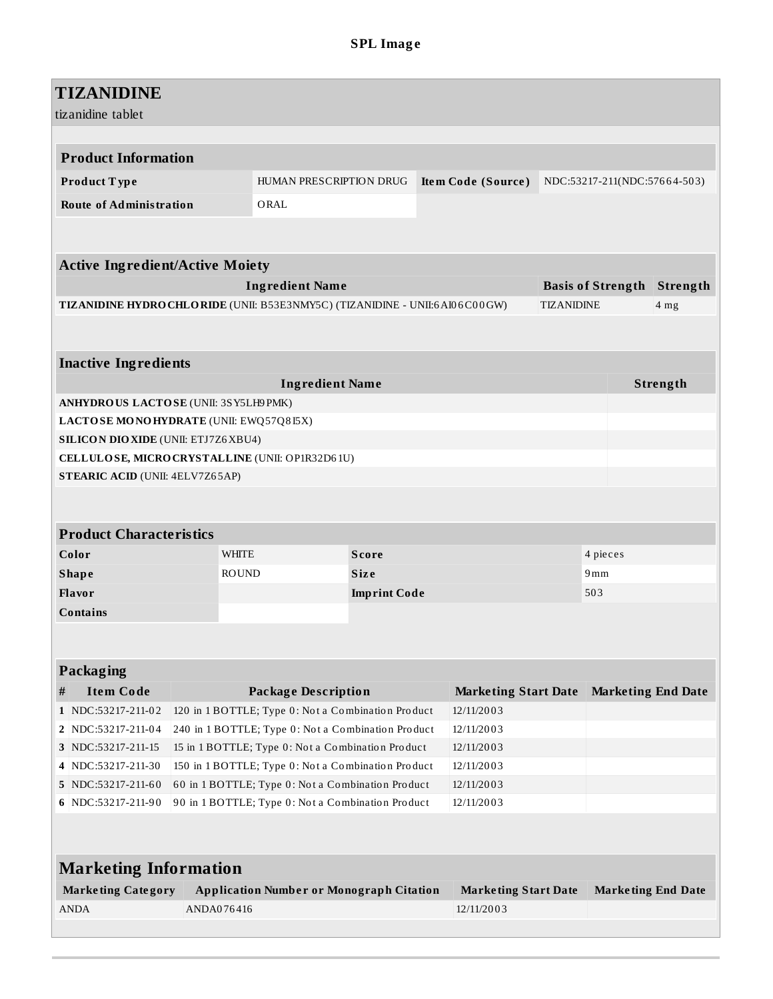# **TIZANIDINE**

|        | tizanidine tablet                           |            |                                                                                                         |              |  |                             |                   |                              |          |
|--------|---------------------------------------------|------------|---------------------------------------------------------------------------------------------------------|--------------|--|-----------------------------|-------------------|------------------------------|----------|
|        |                                             |            |                                                                                                         |              |  |                             |                   |                              |          |
|        | <b>Product Information</b>                  |            |                                                                                                         |              |  |                             |                   |                              |          |
|        | Product Type                                |            | HUMAN PRESCRIPTION DRUG                                                                                 |              |  | Item Code (Source)          |                   | NDC:53217-211(NDC:57664-503) |          |
|        | <b>Route of Administration</b>              |            | ORAL                                                                                                    |              |  |                             |                   |                              |          |
|        |                                             |            |                                                                                                         |              |  |                             |                   |                              |          |
|        |                                             |            |                                                                                                         |              |  |                             |                   |                              |          |
|        | <b>Active Ingredient/Active Moiety</b>      |            |                                                                                                         |              |  |                             |                   |                              |          |
|        |                                             |            | <b>Ingredient Name</b>                                                                                  |              |  |                             |                   | <b>Basis of Strength</b>     | Strength |
|        |                                             |            | TIZANIDINE HYDRO CHLO RIDE (UNII: B53E3NMY5C) (TIZANIDINE - UNII:6A106C00GW)                            |              |  |                             | <b>TIZANIDINE</b> |                              | 4 mg     |
|        |                                             |            |                                                                                                         |              |  |                             |                   |                              |          |
|        |                                             |            |                                                                                                         |              |  |                             |                   |                              |          |
|        | <b>Inactive Ingredients</b>                 |            |                                                                                                         |              |  |                             |                   |                              |          |
|        |                                             |            | <b>Ingredient Name</b>                                                                                  |              |  |                             |                   |                              | Strength |
|        | ANHYDROUS LACTOSE (UNII: 3SY5LH9 PMK)       |            |                                                                                                         |              |  |                             |                   |                              |          |
|        | LACTOSE MONOHYDRATE (UNII: EWQ57Q8I5X)      |            |                                                                                                         |              |  |                             |                   |                              |          |
|        | <b>SILICON DIO XIDE (UNII: ETJ7Z6 XBU4)</b> |            |                                                                                                         |              |  |                             |                   |                              |          |
|        |                                             |            | CELLULOSE, MICRO CRYSTALLINE (UNII: OP1R32D61U)                                                         |              |  |                             |                   |                              |          |
|        | <b>STEARIC ACID (UNII: 4ELV7Z65AP)</b>      |            |                                                                                                         |              |  |                             |                   |                              |          |
|        |                                             |            |                                                                                                         |              |  |                             |                   |                              |          |
|        |                                             |            |                                                                                                         |              |  |                             |                   |                              |          |
|        | <b>Product Characteristics</b>              |            |                                                                                                         |              |  |                             |                   |                              |          |
|        | Color                                       |            | <b>WHITE</b>                                                                                            | <b>Score</b> |  |                             |                   | 4 pieces                     |          |
|        | <b>Shape</b>                                |            | <b>ROUND</b>                                                                                            | <b>Size</b>  |  | 9mm                         |                   |                              |          |
| Flavor |                                             |            | <b>Imprint Code</b>                                                                                     |              |  |                             | 503               |                              |          |
|        | <b>Contains</b>                             |            |                                                                                                         |              |  |                             |                   |                              |          |
|        |                                             |            |                                                                                                         |              |  |                             |                   |                              |          |
|        |                                             |            |                                                                                                         |              |  |                             |                   |                              |          |
|        | <b>Packaging</b>                            |            |                                                                                                         |              |  |                             |                   |                              |          |
| #      | <b>Item Code</b>                            |            | <b>Package Description</b>                                                                              |              |  | <b>Marketing Start Date</b> |                   | <b>Marketing End Date</b>    |          |
|        | 1 NDC:53217-211-02                          |            | 120 in 1 BOTTLE; Type 0: Not a Combination Product                                                      |              |  | 12/11/2003                  |                   |                              |          |
|        | 2 NDC:53217-211-04                          |            | 240 in 1 BOTTLE; Type 0: Not a Combination Product                                                      |              |  | 12/11/2003                  |                   |                              |          |
|        | 3 NDC:53217-211-15                          |            | 15 in 1 BOTTLE; Type 0: Not a Combination Product                                                       |              |  | 12/11/2003                  |                   |                              |          |
| 4      | NDC:53217-211-30<br>5 NDC:53217-211-60      |            | 150 in 1 BOTTLE; Type 0: Not a Combination Product<br>60 in 1 BOTTLE; Type 0: Not a Combination Product |              |  | 12/11/2003<br>12/11/2003    |                   |                              |          |
|        | 6 NDC:53217-211-90                          |            | 90 in 1 BOTTLE; Type 0: Not a Combination Product                                                       |              |  | 12/11/2003                  |                   |                              |          |
|        |                                             |            |                                                                                                         |              |  |                             |                   |                              |          |
|        |                                             |            |                                                                                                         |              |  |                             |                   |                              |          |
|        |                                             |            |                                                                                                         |              |  |                             |                   |                              |          |
|        | <b>Marketing Information</b>                |            |                                                                                                         |              |  |                             |                   |                              |          |
|        | <b>Marketing Category</b>                   |            | <b>Application Number or Monograph Citation</b>                                                         |              |  | <b>Marketing Start Date</b> |                   | <b>Marketing End Date</b>    |          |
|        | <b>ANDA</b>                                 | ANDA076416 |                                                                                                         |              |  | 12/11/2003                  |                   |                              |          |